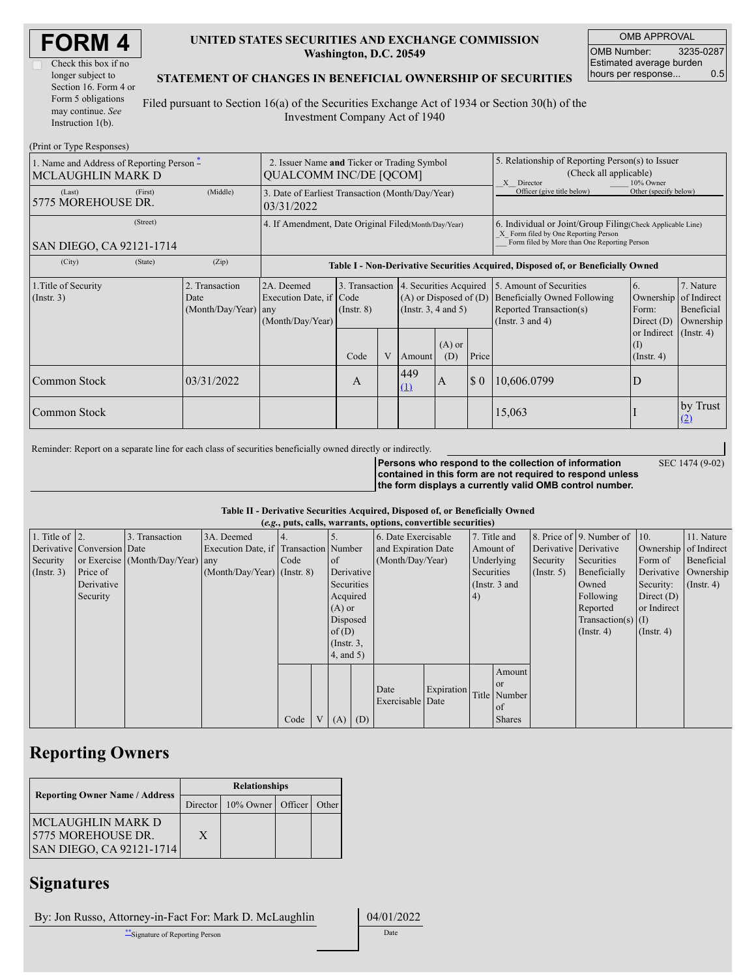| <b>FORM4</b> |  |
|--------------|--|
|--------------|--|

| Check this box if no  |
|-----------------------|
| longer subject to     |
| Section 16. Form 4 or |
| Form 5 obligations    |
| may continue. See     |
| Instruction $1(b)$ .  |

### **UNITED STATES SECURITIES AND EXCHANGE COMMISSION Washington, D.C. 20549**

OMB APPROVAL OMB Number: 3235-0287 Estimated average burden hours per response... 0.5

#### **STATEMENT OF CHANGES IN BENEFICIAL OWNERSHIP OF SECURITIES**

Filed pursuant to Section 16(a) of the Securities Exchange Act of 1934 or Section 30(h) of the Investment Company Act of 1940

| (Print or Type Responses)                                                       |                                                                              |                                                |                                                                                  |                  |   |                                                                                                 |                                                                                                                                                     |                       |                                                                                                             |                                                      |                                                     |
|---------------------------------------------------------------------------------|------------------------------------------------------------------------------|------------------------------------------------|----------------------------------------------------------------------------------|------------------|---|-------------------------------------------------------------------------------------------------|-----------------------------------------------------------------------------------------------------------------------------------------------------|-----------------------|-------------------------------------------------------------------------------------------------------------|------------------------------------------------------|-----------------------------------------------------|
| 1. Name and Address of Reporting Person $\tilde{-}$<br><b>MCLAUGHLIN MARK D</b> | 2. Issuer Name and Ticker or Trading Symbol<br><b>OUALCOMM INC/DE [OCOM]</b> |                                                |                                                                                  |                  |   |                                                                                                 | 5. Relationship of Reporting Person(s) to Issuer<br>(Check all applicable)<br>10% Owner<br>X Director                                               |                       |                                                                                                             |                                                      |                                                     |
| (Last)<br>5775 MOREHOUSE DR.                                                    | 3. Date of Earliest Transaction (Month/Day/Year)<br>03/31/2022               |                                                |                                                                                  |                  |   |                                                                                                 | Officer (give title below)                                                                                                                          | Other (specify below) |                                                                                                             |                                                      |                                                     |
| SAN DIEGO, CA 92121-1714                                                        | 4. If Amendment, Date Original Filed (Month/Day/Year)                        |                                                |                                                                                  |                  |   |                                                                                                 | 6. Individual or Joint/Group Filing (Check Applicable Line)<br>X Form filed by One Reporting Person<br>Form filed by More than One Reporting Person |                       |                                                                                                             |                                                      |                                                     |
| (City)                                                                          | (State)                                                                      | (Zip)                                          | Table I - Non-Derivative Securities Acquired, Disposed of, or Beneficially Owned |                  |   |                                                                                                 |                                                                                                                                                     |                       |                                                                                                             |                                                      |                                                     |
| 1. Title of Security<br>$($ Instr. 3 $)$                                        |                                                                              | 2. Transaction<br>Date<br>(Month/Day/Year) any | 2A. Deemed<br>Execution Date, if Code<br>(Month/Day/Year)                        | $($ Instr. 8 $)$ |   | 3. Transaction 4. Securities Acquired<br>$(A)$ or Disposed of $(D)$<br>(Instr. $3, 4$ and $5$ ) |                                                                                                                                                     |                       | 5. Amount of Securities<br>Beneficially Owned Following<br>Reported Transaction(s)<br>(Instr. $3$ and $4$ ) | 6 <sub>1</sub><br>Ownership<br>Form:<br>Direct $(D)$ | 7. Nature<br>of Indirect<br>Beneficial<br>Ownership |
|                                                                                 |                                                                              |                                                |                                                                                  | Code             | V | Amount                                                                                          | $(A)$ or<br>(D)                                                                                                                                     | Price                 |                                                                                                             | or Indirect<br>(1)<br>$($ Instr. 4)                  | $($ Instr. 4)                                       |
| Common Stock                                                                    |                                                                              | 03/31/2022                                     |                                                                                  | A                |   | 449<br>$\sqrt{5}0$<br>$\mathbf{A}$<br>(1)                                                       |                                                                                                                                                     |                       | 10,606.0799                                                                                                 | ID                                                   |                                                     |
| Common Stock                                                                    |                                                                              |                                                |                                                                                  |                  |   |                                                                                                 |                                                                                                                                                     |                       | 15,063                                                                                                      |                                                      | by Trust<br>(2)                                     |

Reminder: Report on a separate line for each class of securities beneficially owned directly or indirectly.

SEC 1474 (9-02)

**Persons who respond to the collection of information contained in this form are not required to respond unless the form displays a currently valid OMB control number.**

| Table II - Derivative Securities Acquired, Disposed of, or Beneficially Owned |  |  |                                                          |  |  |  |
|-------------------------------------------------------------------------------|--|--|----------------------------------------------------------|--|--|--|
|                                                                               |  |  | (a.g., with and warmants ontions conventible securities) |  |  |  |

|                    | (e.g., puts, cans, warrants, options, convertible securities) |                                  |                                       |      |  |               |  |                     |            |            |                 |                  |                          |                       |               |
|--------------------|---------------------------------------------------------------|----------------------------------|---------------------------------------|------|--|---------------|--|---------------------|------------|------------|-----------------|------------------|--------------------------|-----------------------|---------------|
| 1. Title of $ 2$ . |                                                               | 3. Transaction                   | 3A. Deemed                            |      |  |               |  | 6. Date Exercisable |            |            | 7. Title and    |                  | 8. Price of 9. Number of | $ 10\rangle$          | 11. Nature    |
|                    | Derivative Conversion Date                                    |                                  | Execution Date, if Transaction Number |      |  |               |  | and Expiration Date |            | Amount of  |                 |                  | Derivative Derivative    | Ownership of Indirect |               |
| Security           |                                                               | or Exercise (Month/Day/Year) any |                                       | Code |  | of of         |  | (Month/Day/Year)    |            |            | Underlying      | Security         | Securities               | Form of               | Beneficial    |
| $($ Instr. 3 $)$   | Price of                                                      |                                  | $(Month/Day/Year)$ (Instr. 8)         |      |  | Derivative    |  |                     |            | Securities |                 | $($ Instr. 5 $)$ | Beneficially             | Derivative Ownership  |               |
|                    | Derivative                                                    |                                  |                                       |      |  | Securities    |  |                     |            |            | (Instr. $3$ and |                  | Owned                    | Security:             | $($ Instr. 4) |
|                    | Security                                                      |                                  |                                       |      |  | Acquired      |  |                     |            | (4)        |                 |                  | Following                | Direct $(D)$          |               |
|                    |                                                               |                                  |                                       |      |  | $(A)$ or      |  |                     |            |            |                 |                  | Reported                 | or Indirect           |               |
|                    |                                                               |                                  |                                       |      |  | Disposed      |  |                     |            |            |                 |                  | Transaction(s) $(1)$     |                       |               |
|                    |                                                               |                                  |                                       |      |  | of $(D)$      |  |                     |            |            |                 |                  | $($ Instr. 4 $)$         | $($ Instr. 4 $)$      |               |
|                    |                                                               |                                  |                                       |      |  | $($ Instr. 3, |  |                     |            |            |                 |                  |                          |                       |               |
|                    |                                                               |                                  |                                       |      |  | $4$ , and 5)  |  |                     |            |            |                 |                  |                          |                       |               |
|                    |                                                               |                                  |                                       |      |  |               |  |                     |            |            | Amount          |                  |                          |                       |               |
|                    |                                                               |                                  |                                       |      |  |               |  | Date                | Expiration |            | or or           |                  |                          |                       |               |
|                    |                                                               |                                  |                                       |      |  |               |  | Exercisable Date    |            |            | Title Number    |                  |                          |                       |               |
|                    |                                                               |                                  |                                       |      |  |               |  |                     |            |            | of              |                  |                          |                       |               |
|                    |                                                               |                                  |                                       | Code |  | $V(A)$ (D)    |  |                     |            |            | <b>Shares</b>   |                  |                          |                       |               |

# **Reporting Owners**

|                                                                              | <b>Relationships</b> |                            |  |       |  |  |  |  |
|------------------------------------------------------------------------------|----------------------|----------------------------|--|-------|--|--|--|--|
| <b>Reporting Owner Name / Address</b>                                        |                      | Director 10% Owner Officer |  | Other |  |  |  |  |
| IMCLAUGHLIN MARK D<br>15775 MOREHOUSE DR.<br><b>SAN DIEGO, CA 92121-1714</b> | X                    |                            |  |       |  |  |  |  |

### **Signatures**

By: Jon Russo, Attorney-in-Fact For: Mark D. McLaughlin 04/01/2022